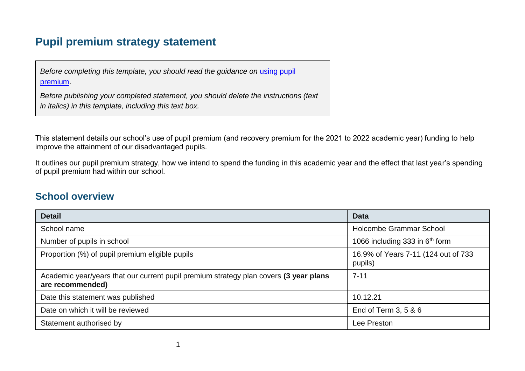## **Pupil premium strategy statement**

*Before completing this template, you should read the guidance on using pupil* [premium.](https://www.gov.uk/guidance/pupil-premium-effective-use-and-accountability#online-statements)

*Before publishing your completed statement, you should delete the instructions (text in italics) in this template, including this text box.*

This statement details our school's use of pupil premium (and recovery premium for the 2021 to 2022 academic year) funding to help improve the attainment of our disadvantaged pupils.

It outlines our pupil premium strategy, how we intend to spend the funding in this academic year and the effect that last year's spending of pupil premium had within our school.

### **School overview**

| <b>Detail</b>                                                                                             | <b>Data</b>                                    |
|-----------------------------------------------------------------------------------------------------------|------------------------------------------------|
| School name                                                                                               | Holcombe Grammar School                        |
| Number of pupils in school                                                                                | 1066 including 333 in 6 <sup>th</sup> form     |
| Proportion (%) of pupil premium eligible pupils                                                           | 16.9% of Years 7-11 (124 out of 733<br>pupils) |
| Academic year/years that our current pupil premium strategy plan covers (3 year plans<br>are recommended) | $7 - 11$                                       |
| Date this statement was published                                                                         | 10.12.21                                       |
| Date on which it will be reviewed                                                                         | End of Term 3, 5 & 6                           |
| Statement authorised by                                                                                   | Lee Preston                                    |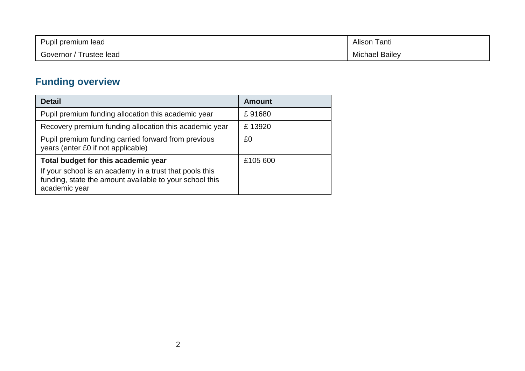| Pupil premium<br>ı lead | $\sim$<br>.<br>anti <sup>-</sup><br>Alison |
|-------------------------|--------------------------------------------|
| $\sim$                  | . .                                        |
| ustee lead              | <b>Bailey</b>                              |
| Governor                | Vlichael                                   |

# **Funding overview**

| <b>Detail</b>                                                                                                                                                              | <b>Amount</b> |
|----------------------------------------------------------------------------------------------------------------------------------------------------------------------------|---------------|
| Pupil premium funding allocation this academic year                                                                                                                        | £91680        |
| Recovery premium funding allocation this academic year                                                                                                                     | £13920        |
| Pupil premium funding carried forward from previous<br>years (enter £0 if not applicable)                                                                                  | £0            |
| Total budget for this academic year<br>If your school is an academy in a trust that pools this<br>funding, state the amount available to your school this<br>academic year | £105 600      |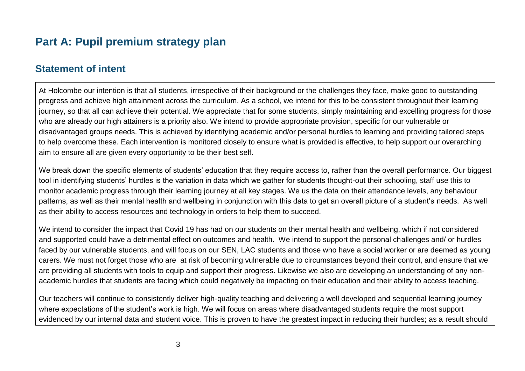## **Part A: Pupil premium strategy plan**

#### **Statement of intent**

At Holcombe our intention is that all students, irrespective of their background or the challenges they face, make good to outstanding progress and achieve high attainment across the curriculum. As a school, we intend for this to be consistent throughout their learning journey, so that all can achieve their potential. We appreciate that for some students, simply maintaining and excelling progress for those who are already our high attainers is a priority also. We intend to provide appropriate provision, specific for our vulnerable or disadvantaged groups needs. This is achieved by identifying academic and/or personal hurdles to learning and providing tailored steps to help overcome these. Each intervention is monitored closely to ensure what is provided is effective, to help support our overarching aim to ensure all are given every opportunity to be their best self.

We break down the specific elements of students' education that they require access to, rather than the overall performance. Our biggest tool in identifying students' hurdles is the variation in data which we gather for students thought-out their schooling, staff use this to monitor academic progress through their learning journey at all key stages. We us the data on their attendance levels, any behaviour patterns, as well as their mental health and wellbeing in conjunction with this data to get an overall picture of a student's needs. As well as their ability to access resources and technology in orders to help them to succeed.

We intend to consider the impact that Covid 19 has had on our students on their mental health and wellbeing, which if not considered and supported could have a detrimental effect on outcomes and health. We intend to support the personal challenges and/ or hurdles faced by our vulnerable students, and will focus on our SEN, LAC students and those who have a social worker or are deemed as young carers. We must not forget those who are at risk of becoming vulnerable due to circumstances beyond their control, and ensure that we are providing all students with tools to equip and support their progress. Likewise we also are developing an understanding of any nonacademic hurdles that students are facing which could negatively be impacting on their education and their ability to access teaching.

Our teachers will continue to consistently deliver high-quality teaching and delivering a well developed and sequential learning journey where expectations of the student's work is high. We will focus on areas where disadvantaged students require the most support evidenced by our internal data and student voice. This is proven to have the greatest impact in reducing their hurdles; as a result should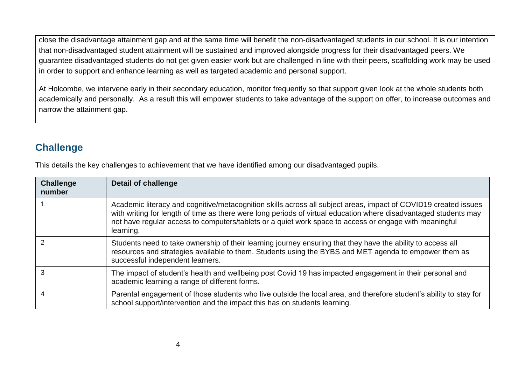close the disadvantage attainment gap and at the same time will benefit the non-disadvantaged students in our school. It is our intention that non-disadvantaged student attainment will be sustained and improved alongside progress for their disadvantaged peers. We guarantee disadvantaged students do not get given easier work but are challenged in line with their peers, scaffolding work may be used in order to support and enhance learning as well as targeted academic and personal support.

At Holcombe, we intervene early in their secondary education, monitor frequently so that support given look at the whole students both academically and personally. As a result this will empower students to take advantage of the support on offer, to increase outcomes and narrow the attainment gap.

### **Challenge**

This details the key challenges to achievement that we have identified among our disadvantaged pupils.

| <b>Challenge</b><br>number | <b>Detail of challenge</b>                                                                                                                                                                                                                                                                                                                                 |
|----------------------------|------------------------------------------------------------------------------------------------------------------------------------------------------------------------------------------------------------------------------------------------------------------------------------------------------------------------------------------------------------|
|                            | Academic literacy and cognitive/metacognition skills across all subject areas, impact of COVID19 created issues<br>with writing for length of time as there were long periods of virtual education where disadvantaged students may<br>not have regular access to computers/tablets or a quiet work space to access or engage with meaningful<br>learning. |
|                            | Students need to take ownership of their learning journey ensuring that they have the ability to access all<br>resources and strategies available to them. Students using the BYBS and MET agenda to empower them as<br>successful independent learners.                                                                                                   |
|                            | The impact of student's health and wellbeing post Covid 19 has impacted engagement in their personal and<br>academic learning a range of different forms.                                                                                                                                                                                                  |
|                            | Parental engagement of those students who live outside the local area, and therefore student's ability to stay for<br>school support/intervention and the impact this has on students learning.                                                                                                                                                            |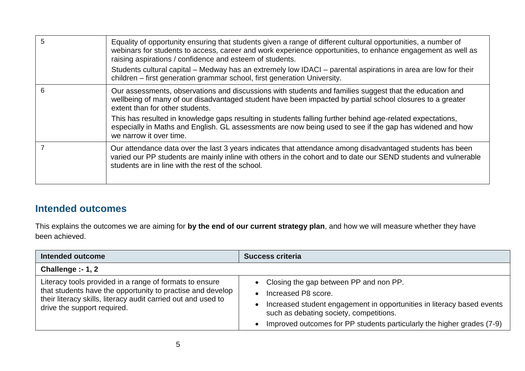| 5 | Equality of opportunity ensuring that students given a range of different cultural opportunities, a number of<br>webinars for students to access, career and work experience opportunities, to enhance engagement as well as<br>raising aspirations / confidence and esteem of students. |
|---|------------------------------------------------------------------------------------------------------------------------------------------------------------------------------------------------------------------------------------------------------------------------------------------|
|   | Students cultural capital – Medway has an extremely low IDACI – parental aspirations in area are low for their<br>children – first generation grammar school, first generation University.                                                                                               |
| 6 | Our assessments, observations and discussions with students and families suggest that the education and<br>wellbeing of many of our disadvantaged student have been impacted by partial school closures to a greater<br>extent than for other students.                                  |
|   | This has resulted in knowledge gaps resulting in students falling further behind age-related expectations,<br>especially in Maths and English. GL assessments are now being used to see if the gap has widened and how<br>we narrow it over time.                                        |
|   | Our attendance data over the last 3 years indicates that attendance among disadvantaged students has been<br>varied our PP students are mainly inline with others in the cohort and to date our SEND students and vulnerable<br>students are in line with the rest of the school.        |

## **Intended outcomes**

This explains the outcomes we are aiming for **by the end of our current strategy plan**, and how we will measure whether they have been achieved.

| <b>Intended outcome</b>                                                                                                                                                                                               | <b>Success criteria</b>                                                                                                                                                                                                                                        |  |
|-----------------------------------------------------------------------------------------------------------------------------------------------------------------------------------------------------------------------|----------------------------------------------------------------------------------------------------------------------------------------------------------------------------------------------------------------------------------------------------------------|--|
| Challenge $: -1, 2$                                                                                                                                                                                                   |                                                                                                                                                                                                                                                                |  |
| Literacy tools provided in a range of formats to ensure<br>that students have the opportunity to practise and develop<br>their literacy skills, literacy audit carried out and used to<br>drive the support required. | • Closing the gap between PP and non PP.<br>Increased P8 score.<br>Increased student engagement in opportunities in literacy based events<br>such as debating society, competitions.<br>Improved outcomes for PP students particularly the higher grades (7-9) |  |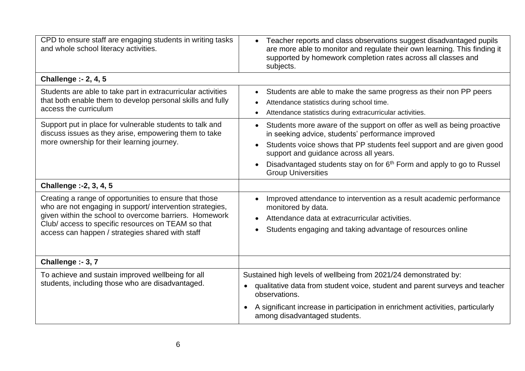| CPD to ensure staff are engaging students in writing tasks<br>and whole school literacy activities.                                                                                                                                                                                    | Teacher reports and class observations suggest disadvantaged pupils<br>are more able to monitor and regulate their own learning. This finding it<br>supported by homework completion rates across all classes and<br>subjects.                                                      |
|----------------------------------------------------------------------------------------------------------------------------------------------------------------------------------------------------------------------------------------------------------------------------------------|-------------------------------------------------------------------------------------------------------------------------------------------------------------------------------------------------------------------------------------------------------------------------------------|
| <b>Challenge :- 2, 4, 5</b>                                                                                                                                                                                                                                                            |                                                                                                                                                                                                                                                                                     |
| Students are able to take part in extracurricular activities<br>that both enable them to develop personal skills and fully<br>access the curriculum                                                                                                                                    | Students are able to make the same progress as their non PP peers<br>$\bullet$<br>Attendance statistics during school time.<br>$\bullet$<br>Attendance statistics during extracurricular activities.                                                                                |
| Support put in place for vulnerable students to talk and<br>discuss issues as they arise, empowering them to take<br>more ownership for their learning journey.                                                                                                                        | Students more aware of the support on offer as well as being proactive<br>in seeking advice, students' performance improved                                                                                                                                                         |
|                                                                                                                                                                                                                                                                                        | Students voice shows that PP students feel support and are given good<br>$\bullet$<br>support and guidance across all years.                                                                                                                                                        |
|                                                                                                                                                                                                                                                                                        | Disadvantaged students stay on for 6 <sup>th</sup> Form and apply to go to Russel<br><b>Group Universities</b>                                                                                                                                                                      |
| Challenge :- 2, 3, 4, 5                                                                                                                                                                                                                                                                |                                                                                                                                                                                                                                                                                     |
| Creating a range of opportunities to ensure that those<br>who are not engaging in support/ intervention strategies,<br>given within the school to overcome barriers. Homework<br>Club/access to specific resources on TEAM so that<br>access can happen / strategies shared with staff | Improved attendance to intervention as a result academic performance<br>monitored by data.<br>Attendance data at extracurricular activities.<br>Students engaging and taking advantage of resources online                                                                          |
| Challenge :- 3, 7                                                                                                                                                                                                                                                                      |                                                                                                                                                                                                                                                                                     |
| To achieve and sustain improved wellbeing for all<br>students, including those who are disadvantaged.                                                                                                                                                                                  | Sustained high levels of wellbeing from 2021/24 demonstrated by:<br>qualitative data from student voice, student and parent surveys and teacher<br>observations.<br>A significant increase in participation in enrichment activities, particularly<br>among disadvantaged students. |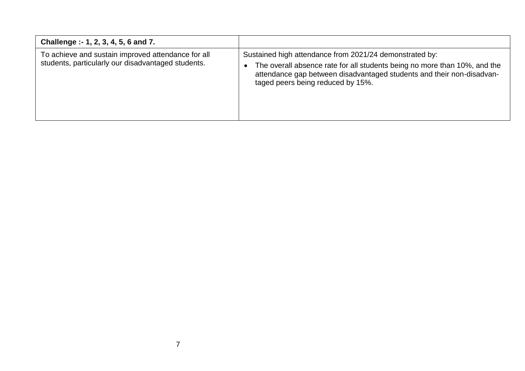| Challenge :- 1, 2, 3, 4, 5, 6 and 7.                                                                     |                                                                                                                                                                                                                                                    |
|----------------------------------------------------------------------------------------------------------|----------------------------------------------------------------------------------------------------------------------------------------------------------------------------------------------------------------------------------------------------|
| To achieve and sustain improved attendance for all<br>students, particularly our disadvantaged students. | Sustained high attendance from 2021/24 demonstrated by:<br>The overall absence rate for all students being no more than 10%, and the<br>attendance gap between disadvantaged students and their non-disadvan-<br>taged peers being reduced by 15%. |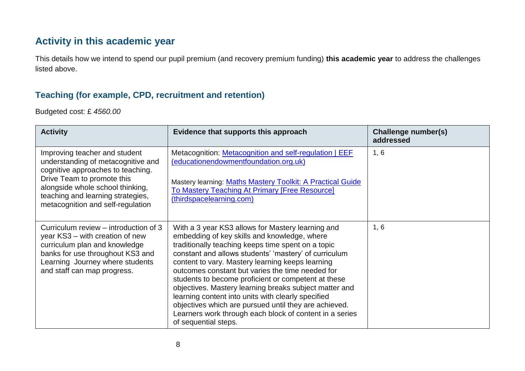## **Activity in this academic year**

This details how we intend to spend our pupil premium (and recovery premium funding) **this academic year** to address the challenges listed above.

#### **Teaching (for example, CPD, recruitment and retention)**

Budgeted cost: £ *4560.00*

| <b>Activity</b>                                                                                                                                                                                                                                      | Evidence that supports this approach                                                                                                                                                                                                                                                                                                                                                                                                                                                                                                                                                                                                        | Challenge number(s)<br>addressed |
|------------------------------------------------------------------------------------------------------------------------------------------------------------------------------------------------------------------------------------------------------|---------------------------------------------------------------------------------------------------------------------------------------------------------------------------------------------------------------------------------------------------------------------------------------------------------------------------------------------------------------------------------------------------------------------------------------------------------------------------------------------------------------------------------------------------------------------------------------------------------------------------------------------|----------------------------------|
| Improving teacher and student<br>understanding of metacognitive and<br>cognitive approaches to teaching.<br>Drive Team to promote this<br>alongside whole school thinking,<br>teaching and learning strategies,<br>metacognition and self-regulation | Metacognition: Metacognition and self-regulation   EEF<br>(educationendowmentfoundation.org.uk)<br>Mastery learning: Maths Mastery Toolkit: A Practical Guide<br><b>To Mastery Teaching At Primary [Free Resource]</b><br>(thirdspacelearning.com)                                                                                                                                                                                                                                                                                                                                                                                          | 1, 6                             |
| Curriculum review – introduction of 3<br>year KS3 – with creation of new<br>curriculum plan and knowledge<br>banks for use throughout KS3 and<br>Learning Journey where students<br>and staff can map progress.                                      | With a 3 year KS3 allows for Mastery learning and<br>embedding of key skills and knowledge, where<br>traditionally teaching keeps time spent on a topic<br>constant and allows students' 'mastery' of curriculum<br>content to vary. Mastery learning keeps learning<br>outcomes constant but varies the time needed for<br>students to become proficient or competent at these<br>objectives. Mastery learning breaks subject matter and<br>learning content into units with clearly specified<br>objectives which are pursued until they are achieved.<br>Learners work through each block of content in a series<br>of sequential steps. | 1, 6                             |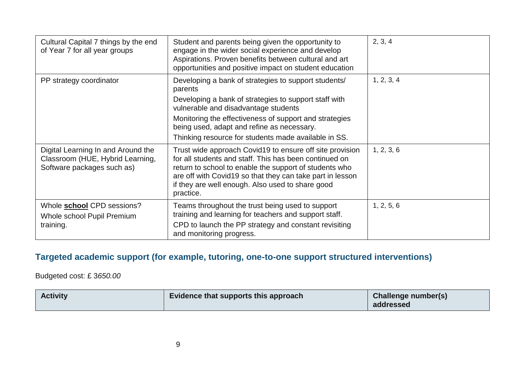| Cultural Capital 7 things by the end<br>of Year 7 for all year groups                                | Student and parents being given the opportunity to<br>engage in the wider social experience and develop<br>Aspirations. Proven benefits between cultural and art<br>opportunities and positive impact on student education                                                                                                       | 2, 3, 4    |
|------------------------------------------------------------------------------------------------------|----------------------------------------------------------------------------------------------------------------------------------------------------------------------------------------------------------------------------------------------------------------------------------------------------------------------------------|------------|
| PP strategy coordinator                                                                              | Developing a bank of strategies to support students/<br>parents<br>Developing a bank of strategies to support staff with<br>vulnerable and disadvantage students<br>Monitoring the effectiveness of support and strategies<br>being used, adapt and refine as necessary.<br>Thinking resource for students made available in SS. | 1, 2, 3, 4 |
| Digital Learning In and Around the<br>Classroom (HUE, Hybrid Learning,<br>Software packages such as) | Trust wide approach Covid19 to ensure off site provision<br>for all students and staff. This has been continued on<br>return to school to enable the support of students who<br>are off with Covid19 so that they can take part in lesson<br>if they are well enough. Also used to share good<br>practice.                       | 1, 2, 3, 6 |
| Whole <b>school</b> CPD sessions?<br>Whole school Pupil Premium<br>training.                         | Teams throughout the trust being used to support<br>training and learning for teachers and support staff.<br>CPD to launch the PP strategy and constant revisiting<br>and monitoring progress.                                                                                                                                   | 1, 2, 5, 6 |

## **Targeted academic support (for example, tutoring, one-to-one support structured interventions)**

Budgeted cost: £ 3*650.00*

| <b>Activity</b> | Evidence that supports this approach | <b>Challenge number(s)</b><br>addressed |
|-----------------|--------------------------------------|-----------------------------------------|
|                 |                                      |                                         |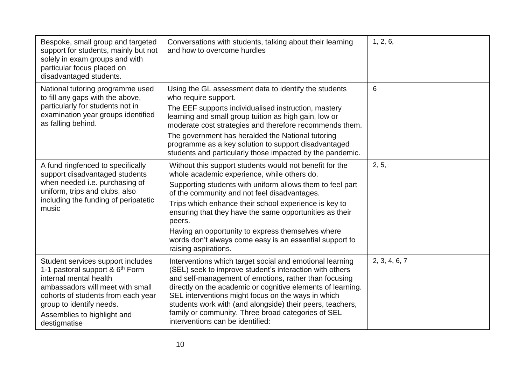| Bespoke, small group and targeted<br>support for students, mainly but not<br>solely in exam groups and with<br>particular focus placed on<br>disadvantaged students.                                                                                            | Conversations with students, talking about their learning<br>and how to overcome hurdles                                                                                                                                                                                                                                                                                                                                                                                                  | 1, 2, 6,      |
|-----------------------------------------------------------------------------------------------------------------------------------------------------------------------------------------------------------------------------------------------------------------|-------------------------------------------------------------------------------------------------------------------------------------------------------------------------------------------------------------------------------------------------------------------------------------------------------------------------------------------------------------------------------------------------------------------------------------------------------------------------------------------|---------------|
| National tutoring programme used<br>to fill any gaps with the above,<br>particularly for students not in<br>examination year groups identified<br>as falling behind.                                                                                            | Using the GL assessment data to identify the students<br>who require support.<br>The EEF supports individualised instruction, mastery<br>learning and small group tuition as high gain, low or<br>moderate cost strategies and therefore recommends them.<br>The government has heralded the National tutoring                                                                                                                                                                            | 6             |
|                                                                                                                                                                                                                                                                 | programme as a key solution to support disadvantaged<br>students and particularly those impacted by the pandemic.                                                                                                                                                                                                                                                                                                                                                                         |               |
| A fund ringfenced to specifically<br>support disadvantaged students<br>when needed i.e. purchasing of<br>uniform, trips and clubs, also<br>including the funding of peripatetic<br>music                                                                        | Without this support students would not benefit for the<br>whole academic experience, while others do.<br>Supporting students with uniform allows them to feel part<br>of the community and not feel disadvantages.<br>Trips which enhance their school experience is key to<br>ensuring that they have the same opportunities as their<br>peers.<br>Having an opportunity to express themselves where<br>words don't always come easy is an essential support to<br>raising aspirations. | 2, 5,         |
| Student services support includes<br>1-1 pastoral support & 6 <sup>th</sup> Form<br>internal mental health<br>ambassadors will meet with small<br>cohorts of students from each year<br>group to identify needs.<br>Assemblies to highlight and<br>destigmatise | Interventions which target social and emotional learning<br>(SEL) seek to improve student's interaction with others<br>and self-management of emotions, rather than focusing<br>directly on the academic or cognitive elements of learning.<br>SEL interventions might focus on the ways in which<br>students work with (and alongside) their peers, teachers,<br>family or community. Three broad categories of SEL<br>interventions can be identified:                                  | 2, 3, 4, 6, 7 |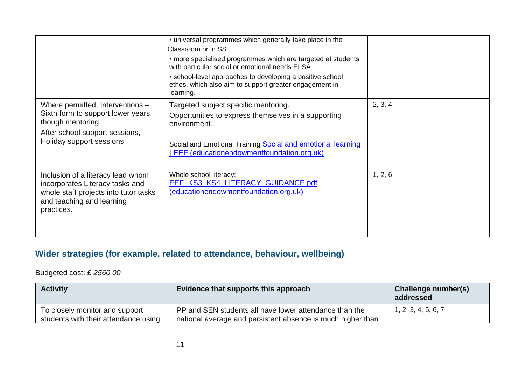|                                                                                                                                                          | • universal programmes which generally take place in the<br>Classroom or in SS<br>• more specialised programmes which are targeted at students<br>with particular social or emotional needs ELSA<br>• school-level approaches to developing a positive school<br>ethos, which also aim to support greater engagement in<br>learning. |         |
|----------------------------------------------------------------------------------------------------------------------------------------------------------|--------------------------------------------------------------------------------------------------------------------------------------------------------------------------------------------------------------------------------------------------------------------------------------------------------------------------------------|---------|
| Where permitted, Interventions -<br>Sixth form to support lower years<br>though mentoring.<br>After school support sessions,<br>Holiday support sessions | Targeted subject specific mentoring.<br>Opportunities to express themselves in a supporting<br>environment.<br>Social and Emotional Training Social and emotional learning<br>EEF (educationendowmentfoundation.org.uk)                                                                                                              | 2, 3, 4 |
| Inclusion of a literacy lead whom<br>incorporates Literacy tasks and<br>whole staff projects into tutor tasks<br>and teaching and learning<br>practices. | Whole school literacy:<br>EEF_KS3_KS4_LITERACY_GUIDANCE.pdf<br>(educationendowmentfoundation.org.uk)                                                                                                                                                                                                                                 | 1, 2, 6 |

## **Wider strategies (for example, related to attendance, behaviour, wellbeing)**

Budgeted cost: £ *2560.00*

| <b>Activity</b>                                                        | Evidence that supports this approach                                                                                  | <b>Challenge number(s)</b><br>addressed |
|------------------------------------------------------------------------|-----------------------------------------------------------------------------------------------------------------------|-----------------------------------------|
| To closely monitor and support<br>students with their attendance using | PP and SEN students all have lower attendance than the<br>national average and persistent absence is much higher than | 1, 2, 3, 4, 5, 6, 7                     |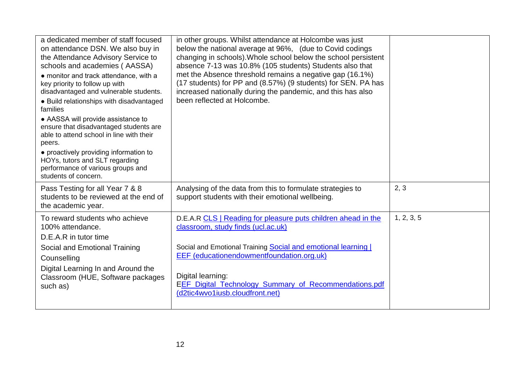| a dedicated member of staff focused<br>on attendance DSN. We also buy in<br>the Attendance Advisory Service to<br>schools and academies (AASSA)<br>• monitor and track attendance, with a<br>key priority to follow up with<br>disadvantaged and vulnerable students.<br>• Build relationships with disadvantaged<br>families<br>• AASSA will provide assistance to<br>ensure that disadvantaged students are<br>able to attend school in line with their<br>peers.<br>• proactively providing information to<br>HOYs, tutors and SLT regarding<br>performance of various groups and<br>students of concern. | in other groups. Whilst attendance at Holcombe was just<br>below the national average at 96%, (due to Covid codings<br>changing in schools). Whole school below the school persistent<br>absence 7-13 was 10.8% (105 students) Students also that<br>met the Absence threshold remains a negative gap (16.1%)<br>(17 students) for PP and (8.57%) (9 students) for SEN. PA has<br>increased nationally during the pandemic, and this has also<br>been reflected at Holcombe. |            |
|--------------------------------------------------------------------------------------------------------------------------------------------------------------------------------------------------------------------------------------------------------------------------------------------------------------------------------------------------------------------------------------------------------------------------------------------------------------------------------------------------------------------------------------------------------------------------------------------------------------|------------------------------------------------------------------------------------------------------------------------------------------------------------------------------------------------------------------------------------------------------------------------------------------------------------------------------------------------------------------------------------------------------------------------------------------------------------------------------|------------|
| Pass Testing for all Year 7 & 8<br>students to be reviewed at the end of<br>the academic year.                                                                                                                                                                                                                                                                                                                                                                                                                                                                                                               | Analysing of the data from this to formulate strategies to<br>support students with their emotional wellbeing.                                                                                                                                                                                                                                                                                                                                                               | 2, 3       |
| To reward students who achieve<br>100% attendance.<br>D.E.A.R in tutor time<br>Social and Emotional Training<br>Counselling<br>Digital Learning In and Around the<br>Classroom (HUE, Software packages<br>such as)                                                                                                                                                                                                                                                                                                                                                                                           | D.E.A.R CLS   Reading for pleasure puts children ahead in the<br>classroom, study finds (ucl.ac.uk)<br>Social and Emotional Training Social and emotional learning  <br>EEF (educationendowmentfoundation.org.uk)<br>Digital learning:<br>EEF_Digital_Technology_Summary_of_Recommendations.pdf<br>(d2tic4wvo1iusb.cloudfront.net)                                                                                                                                           | 1, 2, 3, 5 |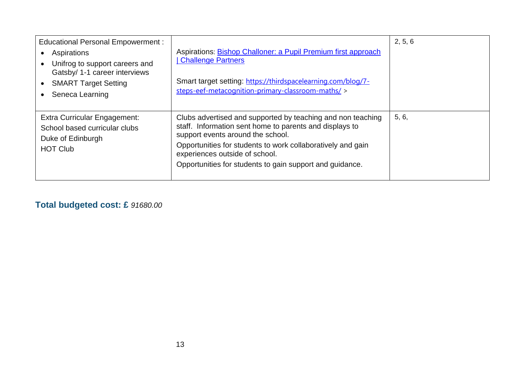| <b>Educational Personal Empowerment:</b><br>Aspirations<br>Unifrog to support careers and<br>Gatsby/ 1-1 career interviews<br><b>SMART Target Setting</b><br>Seneca Learning | Aspirations: Bishop Challoner: a Pupil Premium first approach<br><b>Challenge Partners</b><br>Smart target setting: https://thirdspacelearning.com/blog/7-<br>steps-eef-metacognition-primary-classroom-maths/ >                                                                                                         | 2, 5, 6 |
|------------------------------------------------------------------------------------------------------------------------------------------------------------------------------|--------------------------------------------------------------------------------------------------------------------------------------------------------------------------------------------------------------------------------------------------------------------------------------------------------------------------|---------|
| Extra Curricular Engagement:<br>School based curricular clubs<br>Duke of Edinburgh<br><b>HOT Club</b>                                                                        | Clubs advertised and supported by teaching and non teaching<br>staff. Information sent home to parents and displays to<br>support events around the school.<br>Opportunities for students to work collaboratively and gain<br>experiences outside of school.<br>Opportunities for students to gain support and guidance. | 5, 6,   |

**Total budgeted cost: £** *91680.00*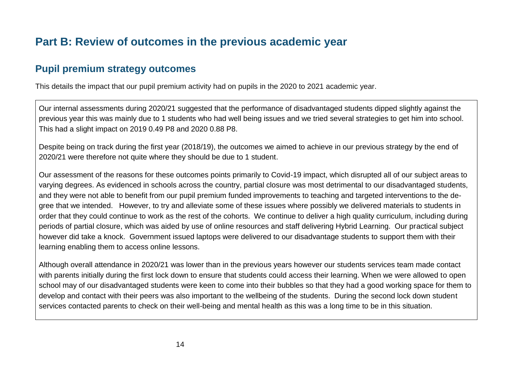## **Part B: Review of outcomes in the previous academic year**

## **Pupil premium strategy outcomes**

This details the impact that our pupil premium activity had on pupils in the 2020 to 2021 academic year.

Our internal assessments during 2020/21 suggested that the performance of disadvantaged students dipped slightly against the previous year this was mainly due to 1 students who had well being issues and we tried several strategies to get him into school. This had a slight impact on 2019 0.49 P8 and 2020 0.88 P8.

Despite being on track during the first year (2018/19), the outcomes we aimed to achieve in our previous strategy by the end of 2020/21 were therefore not quite where they should be due to 1 student.

Our assessment of the reasons for these outcomes points primarily to Covid-19 impact, which disrupted all of our subject areas to varying degrees. As evidenced in schools across the country, partial closure was most detrimental to our disadvantaged students, and they were not able to benefit from our pupil premium funded improvements to teaching and targeted interventions to the degree that we intended. However, to try and alleviate some of these issues where possibly we delivered materials to students in order that they could continue to work as the rest of the cohorts. We continue to deliver a high quality curriculum, including during periods of partial closure, which was aided by use of online resources and staff delivering Hybrid Learning. Our practical subject however did take a knock. Government issued laptops were delivered to our disadvantage students to support them with their learning enabling them to access online lessons.

Although overall attendance in 2020/21 was lower than in the previous years however our students services team made contact with parents initially during the first lock down to ensure that students could access their learning. When we were allowed to open school may of our disadvantaged students were keen to come into their bubbles so that they had a good working space for them to develop and contact with their peers was also important to the wellbeing of the students. During the second lock down student services contacted parents to check on their well-being and mental health as this was a long time to be in this situation.